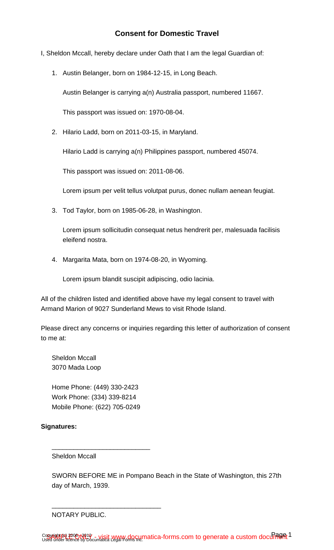- I, Sheldon Mccall, hereby declare under Oath that I am the legal Guardian of:
	- 1. Austin Belanger, born on 1984-12-15, in Long Beach.

Austin Belanger is carrying a(n) Australia passport, numbered 11667.

This passport was issued on: 1970-08-04.

2. Hilario Ladd, born on 2011-03-15, in Maryland.

Hilario Ladd is carrying a(n) Philippines passport, numbered 45074.

This passport was issued on: 2011-08-06.

Lorem ipsum per velit tellus volutpat purus, donec nullam aenean feugiat.

3. Tod Taylor, born on 1985-06-28, in Washington.

Lorem ipsum sollicitudin consequat netus hendrerit per, malesuada facilisis eleifend nostra.

4. Margarita Mata, born on 1974-08-20, in Wyoming.

Lorem ipsum blandit suscipit adipiscing, odio lacinia.

All of the children listed and identified above have my legal consent to travel with Armand Marion of 9027 Sunderland Mews to visit Rhode Island.

Please direct any concerns or inquiries regarding this letter of authorization of consent to me at:

Sheldon Mccall 3070 Mada Loop

Home Phone: (449) 330-2423 Work Phone: (334) 339-8214 Mobile Phone: (622) 705-0249

\_\_\_\_\_\_\_\_\_\_\_\_\_\_\_\_\_\_\_\_\_\_\_\_\_\_\_

\_\_\_\_\_\_\_\_\_\_\_\_\_\_\_\_\_\_\_\_\_\_\_\_\_\_\_\_\_\_

## **Signatures:**

Sheldon Mccall

SWORN BEFORE ME in Pompano Beach in the State of Washington, this 27th day of March, 1939.

NOTARY PUBLIC.

Copyright (c) 2006 N91 & - visit www.documatica-forms.com to generate a custom document Copyright in 2006 N919 - visit WWW docµmatica-forms.com to generate a custom docum of the Set 1 product the Uni<br>Used under licence by Documatica Legal Pompeting Carl forms.com to generate a custom docum of the Set 1